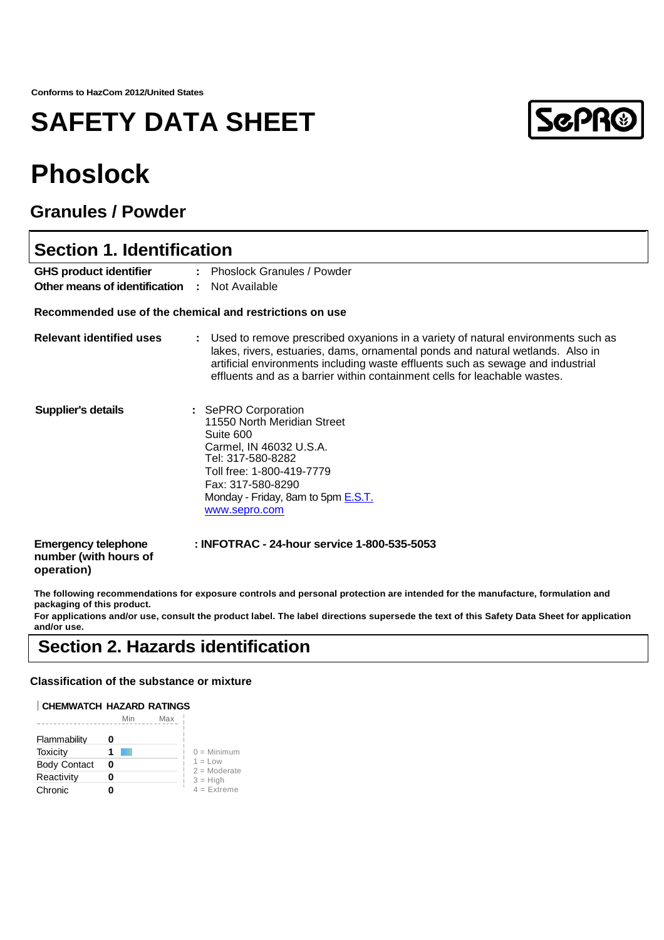## **SAFETY DATA SHEET**

# **ScPR®**

## **Phoslock**

### **Granules / Powder**

| <b>Section 1. Identification</b>                                  |                                                                                                                                                                                                                                                                                                                                    |  |
|-------------------------------------------------------------------|------------------------------------------------------------------------------------------------------------------------------------------------------------------------------------------------------------------------------------------------------------------------------------------------------------------------------------|--|
| <b>GHS product identifier</b>                                     | : Phoslock Granules / Powder                                                                                                                                                                                                                                                                                                       |  |
| Other means of identification :                                   | Not Available                                                                                                                                                                                                                                                                                                                      |  |
|                                                                   | Recommended use of the chemical and restrictions on use                                                                                                                                                                                                                                                                            |  |
| <b>Relevant identified uses</b>                                   | Used to remove prescribed oxyanions in a variety of natural environments such as<br>lakes, rivers, estuaries, dams, ornamental ponds and natural wetlands. Also in<br>artificial environments including waste effluents such as sewage and industrial<br>effluents and as a barrier within containment cells for leachable wastes. |  |
| <b>Supplier's details</b>                                         | : SePRO Corporation<br>11550 North Meridian Street<br>Suite 600<br>Carmel, IN 46032 U.S.A.<br>Tel: 317-580-8282<br>Toll free: 1-800-419-7779<br>Fax: 317-580-8290<br>Monday - Friday, 8am to 5pm E.S.T.<br>www.sepro.com                                                                                                           |  |
| <b>Emergency telephone</b><br>number (with hours of<br>operation) | : INFOTRAC - 24-hour service 1-800-535-5053                                                                                                                                                                                                                                                                                        |  |

**The following recommendations for exposure controls and personal protection are intended for the manufacture, formulation and packaging of this product.**

**For applications and/or use, consult the product label. The label directions supersede the text of this Safety Data Sheet for application and/or use.**

## **Section 2. Hazards identification**

### **Classification of the substance or mixture**

### **CHEMWATCH HAZARD RATINGS**

|                     | Mir<br>Max |                              |
|---------------------|------------|------------------------------|
| Flammability        |            |                              |
| Toxicity            |            | $0 =$ Minimum                |
| <b>Body Contact</b> | o          | $1 = 1$ ow<br>$2 =$ Moderate |
| Reactivity          |            | $3 = High$                   |
| Chronic             |            | $4 =$ Extreme                |
|                     |            |                              |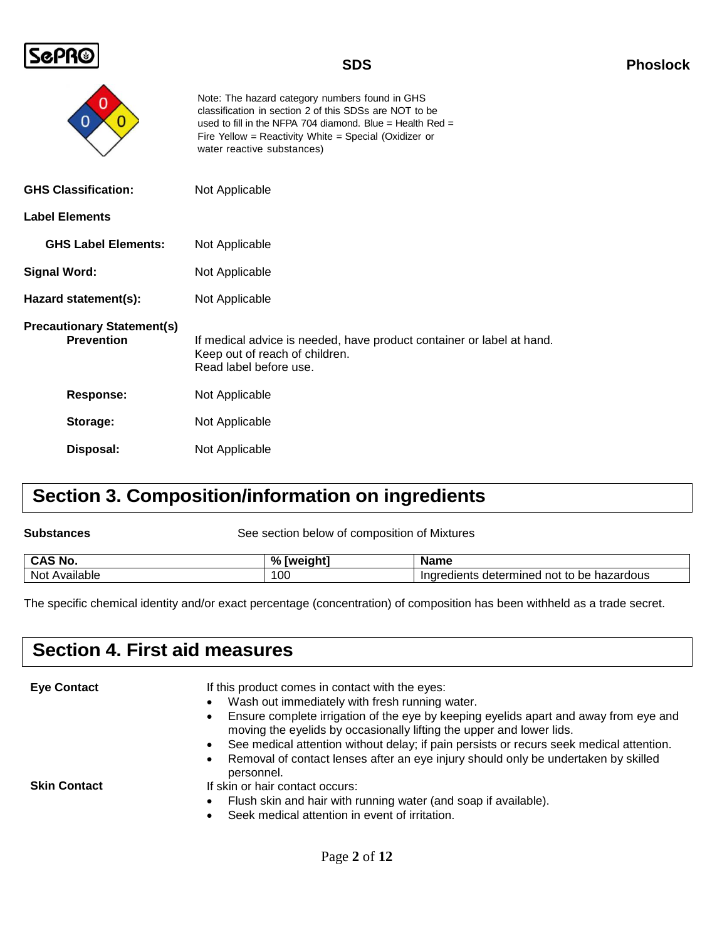

| O                                                      | Note: The hazard category numbers found in GHS<br>classification in section 2 of this SDSs are NOT to be<br>used to fill in the NFPA 704 diamond. Blue = Health Red =<br>Fire Yellow = Reactivity White = Special (Oxidizer or<br>water reactive substances) |
|--------------------------------------------------------|--------------------------------------------------------------------------------------------------------------------------------------------------------------------------------------------------------------------------------------------------------------|
| <b>GHS Classification:</b>                             | Not Applicable                                                                                                                                                                                                                                               |
| <b>Label Elements</b>                                  |                                                                                                                                                                                                                                                              |
| <b>GHS Label Elements:</b>                             | Not Applicable                                                                                                                                                                                                                                               |
| <b>Signal Word:</b>                                    | Not Applicable                                                                                                                                                                                                                                               |
| Hazard statement(s):                                   | Not Applicable                                                                                                                                                                                                                                               |
| <b>Precautionary Statement(s)</b><br><b>Prevention</b> | If medical advice is needed, have product container or label at hand.<br>Keep out of reach of children.<br>Read label before use.                                                                                                                            |
| Response:                                              | Not Applicable                                                                                                                                                                                                                                               |
| Storage:                                               | Not Applicable                                                                                                                                                                                                                                               |
| Disposal:                                              | Not Applicable                                                                                                                                                                                                                                               |

## **Section 3. Composition/information on ingredients**

See section below of composition of Mixtures

| CAC NL<br>≅NC.<br>◡่  | $\Omega$<br>וח | Name                                                                                          |
|-----------------------|----------------|-----------------------------------------------------------------------------------------------|
| <br>Not<br>. Availah' | 100            | hazardous<br>$\cdots$<br>Indredients<br>be<br>---------<br>. .<br>not<br>nıneo<br>aeter<br>το |

The specific chemical identity and/or exact percentage (concentration) of composition has been withheld as a trade secret.

## **Section 4. First aid measures**

**Eye Contact** If this product comes in contact with the eyes:

- Wash out immediately with fresh running water.
- Ensure complete irrigation of the eye by keeping eyelids apart and away from eye and moving the eyelids by occasionally lifting the upper and lower lids.
- See medical attention without delay; if pain persists or recurs seek medical attention.
- Removal of contact lenses after an eye injury should only be undertaken by skilled personnel.

- **Skin Contact If skin or hair contact occurs:** 
	- Flush skin and hair with running water (and soap if available).
	- Seek medical attention in event of irritation.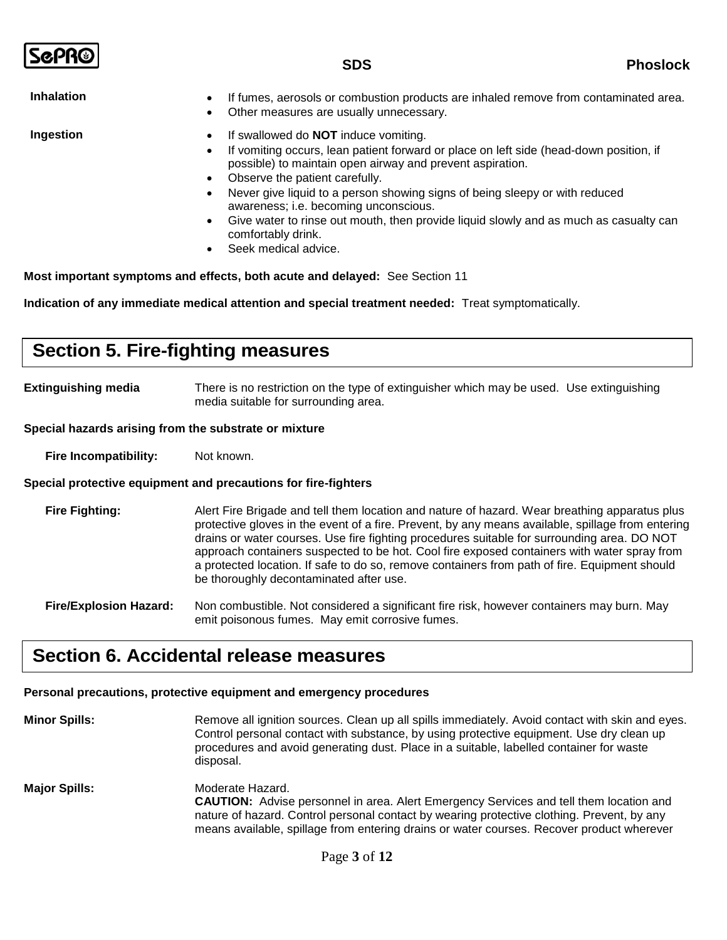| <b>ScPR®</b>      | <b>SDS</b>                                                                                                                                                                                                                                                                                                                                                                                                                                                                                                                                                           | <b>Phoslock</b> |
|-------------------|----------------------------------------------------------------------------------------------------------------------------------------------------------------------------------------------------------------------------------------------------------------------------------------------------------------------------------------------------------------------------------------------------------------------------------------------------------------------------------------------------------------------------------------------------------------------|-----------------|
| <b>Inhalation</b> | If fumes, aerosols or combustion products are inhaled remove from contaminated area.<br>$\bullet$<br>Other measures are usually unnecessary.                                                                                                                                                                                                                                                                                                                                                                                                                         |                 |
| Ingestion         | If swallowed do <b>NOT</b> induce vomiting.<br>$\bullet$<br>If vomiting occurs, lean patient forward or place on left side (head-down position, if<br>$\bullet$<br>possible) to maintain open airway and prevent aspiration.<br>Observe the patient carefully.<br>$\bullet$<br>Never give liquid to a person showing signs of being sleepy or with reduced<br>awareness; i.e. becoming unconscious.<br>Give water to rinse out mouth, then provide liquid slowly and as much as casualty can<br>$\bullet$<br>comfortably drink.<br>Seek medical advice.<br>$\bullet$ |                 |
|                   | Most important symptoms and effects, both acute and delayed: See Section 11                                                                                                                                                                                                                                                                                                                                                                                                                                                                                          |                 |

**Indication of any immediate medical attention and special treatment needed:** Treat symptomatically.

## **Section 5. Fire-fighting measures**

**Extinguishing media** There is no restriction on the type of extinguisher which may be used. Use extinguishing media suitable for surrounding area.

### **Special hazards arising from the substrate or mixture**

**Fire Incompatibility:** Not known.

### **Special protective equipment and precautions for fire-fighters**

**Fire Fighting:** Alert Fire Brigade and tell them location and nature of hazard. Wear breathing apparatus plus protective gloves in the event of a fire. Prevent, by any means available, spillage from entering drains or water courses. Use fire fighting procedures suitable for surrounding area. DO NOT approach containers suspected to be hot. Cool fire exposed containers with water spray from a protected location. If safe to do so, remove containers from path of fire. Equipment should be thoroughly decontaminated after use.

**Fire/Explosion Hazard:** Non combustible. Not considered a significant fire risk, however containers may burn. May emit poisonous fumes. May emit corrosive fumes.

### **Section 6. Accidental release measures**

### **Personal precautions, protective equipment and emergency procedures**

**Minor Spills:** Remove all ignition sources. Clean up all spills immediately. Avoid contact with skin and eyes. Control personal contact with substance, by using protective equipment. Use dry clean up procedures and avoid generating dust. Place in a suitable, labelled container for waste disposal. **Major Spills:** Moderate Hazard. **CAUTION:** Advise personnel in area. Alert Emergency Services and tell them location and nature of hazard. Control personal contact by wearing protective clothing. Prevent, by any means available, spillage from entering drains or water courses. Recover product wherever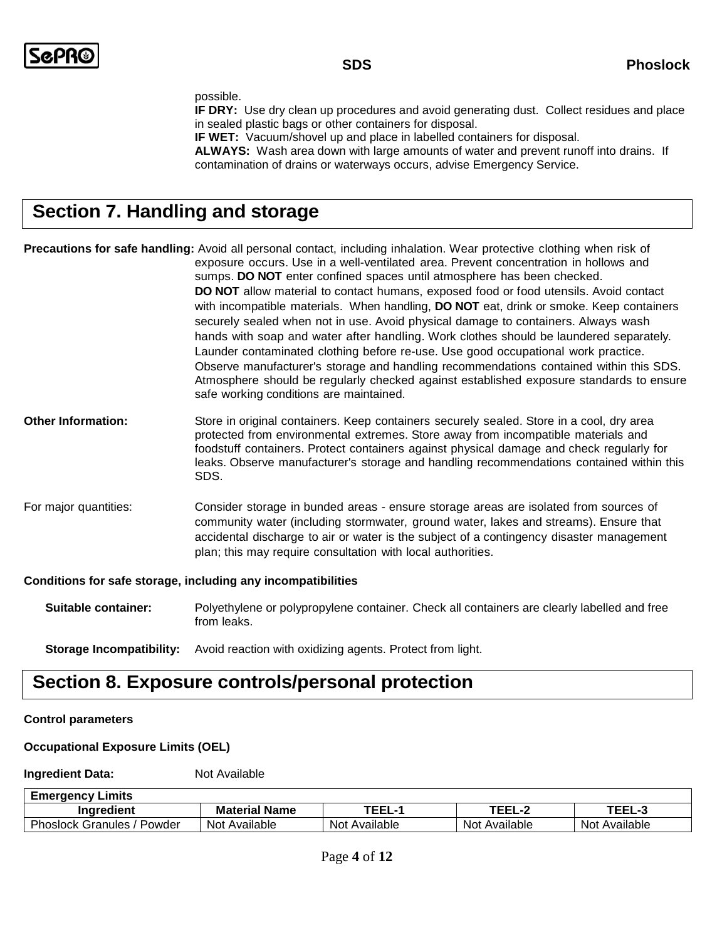#### possible.

**IF DRY:** Use dry clean up procedures and avoid generating dust. Collect residues and place in sealed plastic bags or other containers for disposal.

**IF WET:** Vacuum/shovel up and place in labelled containers for disposal.

**ALWAYS:** Wash area down with large amounts of water and prevent runoff into drains. If contamination of drains or waterways occurs, advise Emergency Service.

## **Section 7. Handling and storage**

**Precautions for safe handling:** Avoid all personal contact, including inhalation. Wear protective clothing when risk of exposure occurs. Use in a well-ventilated area. Prevent concentration in hollows and sumps. **DO NOT** enter confined spaces until atmosphere has been checked. **DO NOT** allow material to contact humans, exposed food or food utensils. Avoid contact with incompatible materials. When handling, **DO NOT** eat, drink or smoke. Keep containers securely sealed when not in use. Avoid physical damage to containers. Always wash hands with soap and water after handling. Work clothes should be laundered separately. Launder contaminated clothing before re-use. Use good occupational work practice. Observe manufacturer's storage and handling recommendations contained within this SDS. Atmosphere should be regularly checked against established exposure standards to ensure safe working conditions are maintained.

- **Other Information:** Store in original containers. Keep containers securely sealed. Store in a cool, dry area protected from environmental extremes. Store away from incompatible materials and foodstuff containers. Protect containers against physical damage and check regularly for leaks. Observe manufacturer's storage and handling recommendations contained within this SDS.
- For major quantities: Consider storage in bunded areas ensure storage areas are isolated from sources of community water (including stormwater, ground water, lakes and streams). Ensure that accidental discharge to air or water is the subject of a contingency disaster management plan; this may require consultation with local authorities.

### **Conditions for safe storage, including any incompatibilities**

**Suitable container:** Polyethylene or polypropylene container. Check all containers are clearly labelled and free from leaks.

**Storage Incompatibility:** Avoid reaction with oxidizing agents. Protect from light.

## **Section 8. Exposure controls/personal protection**

### **Control parameters**

### **Occupational Exposure Limits (OEL)**

### **Ingredient Data:** Not Available

**Emergency Limits**

| ----<br>---.<br>Ingredient<br>Name<br><b>teria</b><br>Mai                                   | <br>----                      |
|---------------------------------------------------------------------------------------------|-------------------------------|
| <b>Dho</b><br>Not<br>Available<br>Not<br>Available<br>Powder<br>Not.<br>Granules<br>าoslock | Available<br>Available<br>Not |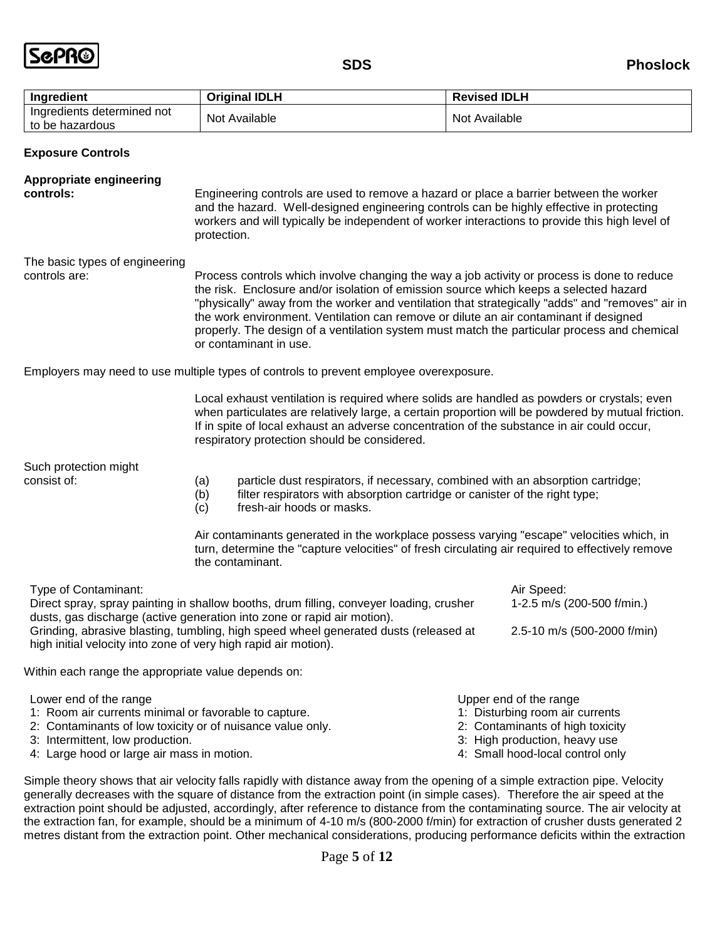

| Ingredient                                    | <b>Original IDLH</b> | <b>Revised IDLH</b> |
|-----------------------------------------------|----------------------|---------------------|
| Ingredients determined not<br>to be hazardous | Not Available        | Not Available       |

**Exposure Controls**

| <b>Appropriate engineering</b><br>controls:                                                                                                                                                                                                                                                                                                           | Engineering controls are used to remove a hazard or place a barrier between the worker<br>and the hazard. Well-designed engineering controls can be highly effective in protecting<br>workers and will typically be independent of worker interactions to provide this high level of<br>protection.                                                                                                                                                                                                        |  |                                                                                                                                                                    |
|-------------------------------------------------------------------------------------------------------------------------------------------------------------------------------------------------------------------------------------------------------------------------------------------------------------------------------------------------------|------------------------------------------------------------------------------------------------------------------------------------------------------------------------------------------------------------------------------------------------------------------------------------------------------------------------------------------------------------------------------------------------------------------------------------------------------------------------------------------------------------|--|--------------------------------------------------------------------------------------------------------------------------------------------------------------------|
| The basic types of engineering<br>controls are:                                                                                                                                                                                                                                                                                                       | Process controls which involve changing the way a job activity or process is done to reduce<br>the risk. Enclosure and/or isolation of emission source which keeps a selected hazard<br>"physically" away from the worker and ventilation that strategically "adds" and "removes" air in<br>the work environment. Ventilation can remove or dilute an air contaminant if designed<br>properly. The design of a ventilation system must match the particular process and chemical<br>or contaminant in use. |  |                                                                                                                                                                    |
|                                                                                                                                                                                                                                                                                                                                                       | Employers may need to use multiple types of controls to prevent employee overexposure.                                                                                                                                                                                                                                                                                                                                                                                                                     |  |                                                                                                                                                                    |
|                                                                                                                                                                                                                                                                                                                                                       | Local exhaust ventilation is required where solids are handled as powders or crystals; even<br>when particulates are relatively large, a certain proportion will be powdered by mutual friction.<br>If in spite of local exhaust an adverse concentration of the substance in air could occur,<br>respiratory protection should be considered.                                                                                                                                                             |  |                                                                                                                                                                    |
| Such protection might<br>consist of:                                                                                                                                                                                                                                                                                                                  | particle dust respirators, if necessary, combined with an absorption cartridge;<br>(a)<br>filter respirators with absorption cartridge or canister of the right type;<br>(b)<br>fresh-air hoods or masks.<br>(c)                                                                                                                                                                                                                                                                                           |  |                                                                                                                                                                    |
| Air contaminants generated in the workplace possess varying "escape" velocities which, in<br>turn, determine the "capture velocities" of fresh circulating air required to effectively remove<br>the contaminant.                                                                                                                                     |                                                                                                                                                                                                                                                                                                                                                                                                                                                                                                            |  |                                                                                                                                                                    |
| Type of Contaminant:<br>Direct spray, spray painting in shallow booths, drum filling, conveyer loading, crusher<br>dusts, gas discharge (active generation into zone or rapid air motion).<br>Grinding, abrasive blasting, tumbling, high speed wheel generated dusts (released at<br>high initial velocity into zone of very high rapid air motion). |                                                                                                                                                                                                                                                                                                                                                                                                                                                                                                            |  | Air Speed:<br>1-2.5 m/s (200-500 f/min.)<br>2.5-10 m/s (500-2000 f/min)                                                                                            |
| Within each range the appropriate value depends on:                                                                                                                                                                                                                                                                                                   |                                                                                                                                                                                                                                                                                                                                                                                                                                                                                                            |  |                                                                                                                                                                    |
| Lower end of the range<br>1: Room air currents minimal or favorable to capture.<br>2: Contaminants of low toxicity or of nuisance value only.<br>3: Intermittent, low production.<br>4: Large hood or large air mass in motion.                                                                                                                       |                                                                                                                                                                                                                                                                                                                                                                                                                                                                                                            |  | Upper end of the range<br>1: Disturbing room air currents<br>2: Contaminants of high toxicity<br>3: High production, heavy use<br>4: Small hood-local control only |

Simple theory shows that air velocity falls rapidly with distance away from the opening of a simple extraction pipe. Velocity generally decreases with the square of distance from the extraction point (in simple cases). Therefore the air speed at the extraction point should be adjusted, accordingly, after reference to distance from the contaminating source. The air velocity at the extraction fan, for example, should be a minimum of 4-10 m/s (800-2000 f/min) for extraction of crusher dusts generated 2 metres distant from the extraction point. Other mechanical considerations, producing performance deficits within the extraction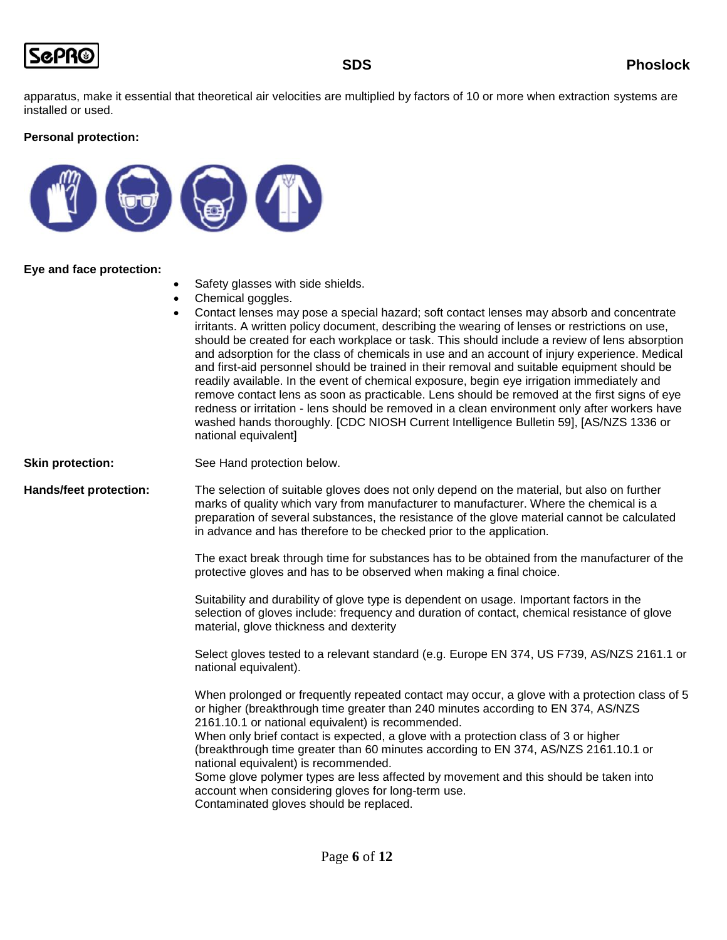

apparatus, make it essential that theoretical air velocities are multiplied by factors of 10 or more when extraction systems are installed or used.

### **Personal protection:**



### **Eye and face protection:**

- Safety glasses with side shields.
- Chemical goggles.
- Contact lenses may pose a special hazard; soft contact lenses may absorb and concentrate irritants. A written policy document, describing the wearing of lenses or restrictions on use, should be created for each workplace or task. This should include a review of lens absorption and adsorption for the class of chemicals in use and an account of injury experience. Medical and first-aid personnel should be trained in their removal and suitable equipment should be readily available. In the event of chemical exposure, begin eye irrigation immediately and remove contact lens as soon as practicable. Lens should be removed at the first signs of eye redness or irritation - lens should be removed in a clean environment only after workers have washed hands thoroughly. [CDC NIOSH Current Intelligence Bulletin 59], [AS/NZS 1336 or national equivalent]

**Skin protection:** See Hand protection below.

**Hands/feet protection:** The selection of suitable gloves does not only depend on the material, but also on further marks of quality which vary from manufacturer to manufacturer. Where the chemical is a preparation of several substances, the resistance of the glove material cannot be calculated in advance and has therefore to be checked prior to the application.

> The exact break through time for substances has to be obtained from the manufacturer of the protective gloves and has to be observed when making a final choice.

Suitability and durability of glove type is dependent on usage. Important factors in the selection of gloves include: frequency and duration of contact, chemical resistance of glove material, glove thickness and dexterity

Select gloves tested to a relevant standard (e.g. Europe EN 374, US F739, AS/NZS 2161.1 or national equivalent).

When prolonged or frequently repeated contact may occur, a glove with a protection class of 5 or higher (breakthrough time greater than 240 minutes according to EN 374, AS/NZS 2161.10.1 or national equivalent) is recommended. When only brief contact is expected, a glove with a protection class of 3 or higher

(breakthrough time greater than 60 minutes according to EN 374, AS/NZS 2161.10.1 or national equivalent) is recommended.

Some glove polymer types are less affected by movement and this should be taken into account when considering gloves for long-term use.

Contaminated gloves should be replaced.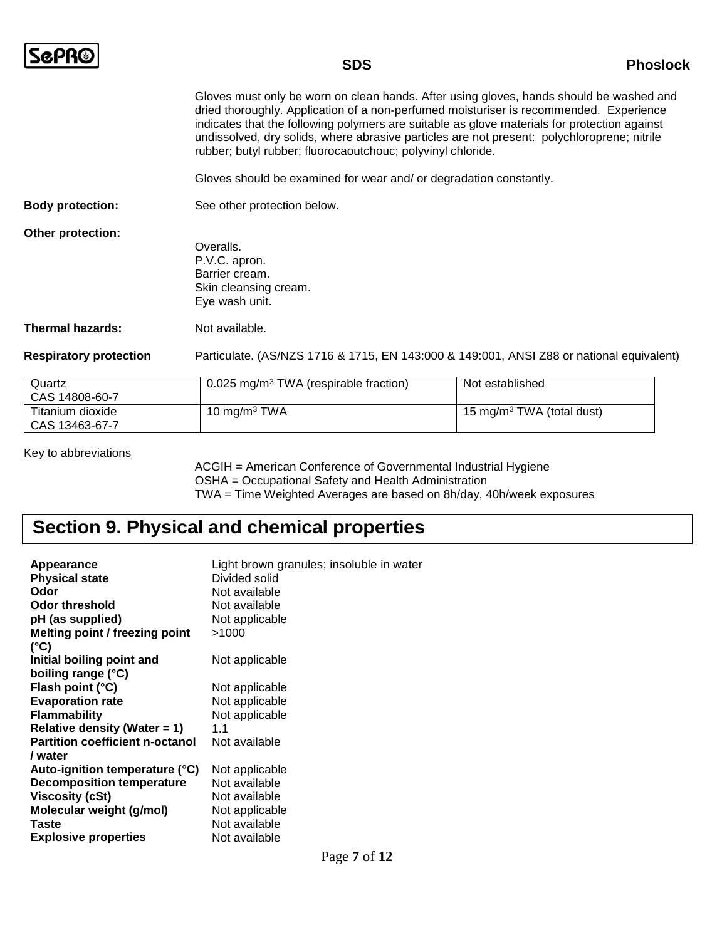|                               | <b>SDS</b><br><b>Phoslock</b>                                                                                                                                                                                                                                                                                                                                                                                                                   |                 |
|-------------------------------|-------------------------------------------------------------------------------------------------------------------------------------------------------------------------------------------------------------------------------------------------------------------------------------------------------------------------------------------------------------------------------------------------------------------------------------------------|-----------------|
|                               | Gloves must only be worn on clean hands. After using gloves, hands should be washed and<br>dried thoroughly. Application of a non-perfumed moisturiser is recommended. Experience<br>indicates that the following polymers are suitable as glove materials for protection against<br>undissolved, dry solids, where abrasive particles are not present: polychloroprene; nitrile<br>rubber; butyl rubber; fluorocaoutchouc; polyvinyl chloride. |                 |
|                               | Gloves should be examined for wear and/ or degradation constantly.                                                                                                                                                                                                                                                                                                                                                                              |                 |
| <b>Body protection:</b>       | See other protection below.                                                                                                                                                                                                                                                                                                                                                                                                                     |                 |
| Other protection:             | Overalls.<br>P.V.C. apron.<br>Barrier cream.<br>Skin cleansing cream.<br>Eye wash unit.                                                                                                                                                                                                                                                                                                                                                         |                 |
| <b>Thermal hazards:</b>       | Not available.                                                                                                                                                                                                                                                                                                                                                                                                                                  |                 |
| <b>Respiratory protection</b> | Particulate. (AS/NZS 1716 & 1715, EN 143:000 & 149:001, ANSI Z88 or national equivalent)                                                                                                                                                                                                                                                                                                                                                        |                 |
| Quartz<br>0.0011000007        | $0.025$ mg/m <sup>3</sup> TWA (respirable fraction)                                                                                                                                                                                                                                                                                                                                                                                             | Not established |

| Quartz           | 0.025 mg/m <sup>3</sup> TWA (respirable fraction) | Not established              |
|------------------|---------------------------------------------------|------------------------------|
| CAS 14808-60-7   |                                                   |                              |
| Titanium dioxide | 10 mg/m $3$ TWA                                   | 15 mg/m $3$ TWA (total dust) |
| CAS 13463-67-7   |                                                   |                              |

Key to abbreviations

ACGIH = American Conference of Governmental Industrial Hygiene OSHA = Occupational Safety and Health Administration TWA = Time Weighted Averages are based on 8h/day, 40h/week exposures

## **Section 9. Physical and chemical properties**

| Appearance                             | Light brown granules; insoluble in water |
|----------------------------------------|------------------------------------------|
| <b>Physical state</b>                  | Divided solid                            |
| Odor                                   | Not available                            |
| Odor threshold                         | Not available                            |
| pH (as supplied)                       | Not applicable                           |
| Melting point / freezing point         | >1000                                    |
| (°C)                                   |                                          |
| Initial boiling point and              | Not applicable                           |
| boiling range (°C)                     |                                          |
| Flash point (°C)                       | Not applicable                           |
| <b>Evaporation rate</b>                | Not applicable                           |
| <b>Flammability</b>                    | Not applicable                           |
| Relative density (Water = 1)           | 11                                       |
| <b>Partition coefficient n-octanol</b> | Not available                            |
| /water                                 |                                          |
| Auto-ignition temperature (°C)         | Not applicable                           |
| <b>Decomposition temperature</b>       | Not available                            |
| Viscosity (cSt)                        | Not available                            |
| Molecular weight (g/mol)               | Not applicable                           |
| Taste                                  | Not available                            |
| <b>Explosive properties</b>            | Not available                            |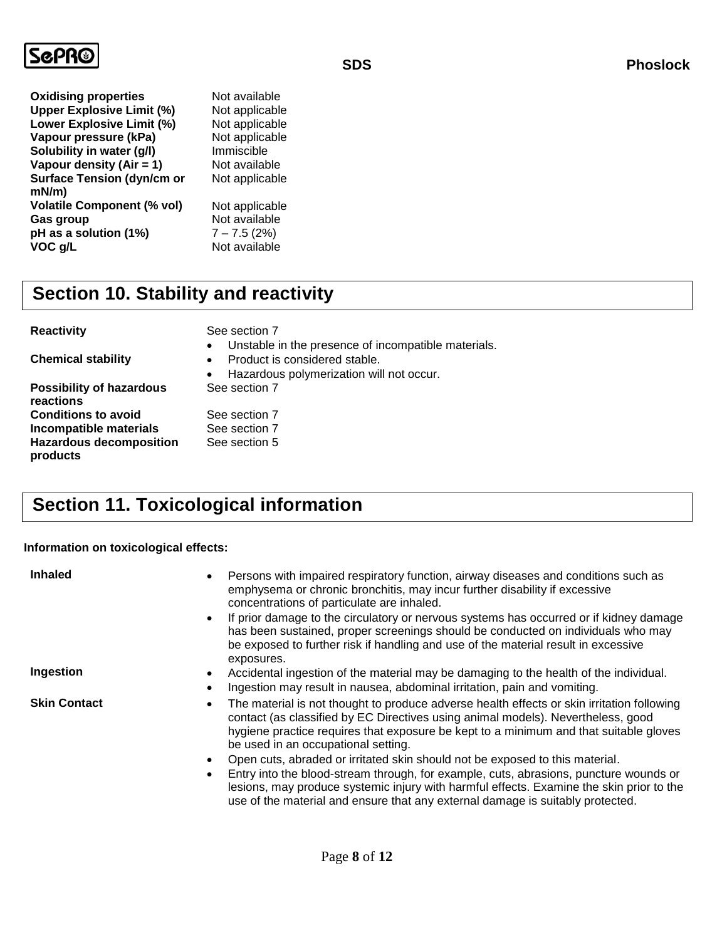

| <b>Oxidising properties</b>       |  |
|-----------------------------------|--|
| <b>Upper Explosive Limit (%)</b>  |  |
| <b>Lower Explosive Limit (%)</b>  |  |
| Vapour pressure (kPa)             |  |
| Solubility in water (g/l)         |  |
| Vapour density (Air = 1)          |  |
| <b>Surface Tension (dyn/cm or</b> |  |
| mN/m)                             |  |
| <b>Volatile Component (% vol)</b> |  |
| Gas group                         |  |
| pH as a solution (1%)             |  |
| VOC g/L                           |  |

**Not available Not applicable Not applicable Not applicable Immiscible Not available** Not applicable **Not applicable** Not available **pH as a solution (1%)** 7 – 7.5 (2%) **Not available** 

## **Section 10. Stability and reactivity**

**Chemical stability Possibility of hazardous** 

**reactions Conditions to avoid** See section 7 **Incompatible materials** See section 7 **Hazardous decomposition products**

**Reactivity** See section 7

- Unstable in the presence of incompatible materials. • Product is considered stable.
- Hazardous polymerization will not occur. See section 7

## See section 5

## **Section 11. Toxicological information**

### **Information on toxicological effects:**

| <b>Inhaled</b>      | Persons with impaired respiratory function, airway diseases and conditions such as<br>$\bullet$<br>emphysema or chronic bronchitis, may incur further disability if excessive<br>concentrations of particulate are inhaled.<br>If prior damage to the circulatory or nervous systems has occurred or if kidney damage<br>$\bullet$<br>has been sustained, proper screenings should be conducted on individuals who may<br>be exposed to further risk if handling and use of the material result in excessive<br>exposures.                                                                                                                                                                                   |
|---------------------|--------------------------------------------------------------------------------------------------------------------------------------------------------------------------------------------------------------------------------------------------------------------------------------------------------------------------------------------------------------------------------------------------------------------------------------------------------------------------------------------------------------------------------------------------------------------------------------------------------------------------------------------------------------------------------------------------------------|
| Ingestion           | Accidental ingestion of the material may be damaging to the health of the individual.<br>$\bullet$<br>Ingestion may result in nausea, abdominal irritation, pain and vomiting.<br>$\bullet$                                                                                                                                                                                                                                                                                                                                                                                                                                                                                                                  |
| <b>Skin Contact</b> | The material is not thought to produce adverse health effects or skin irritation following<br>$\bullet$<br>contact (as classified by EC Directives using animal models). Nevertheless, good<br>hygiene practice requires that exposure be kept to a minimum and that suitable gloves<br>be used in an occupational setting.<br>Open cuts, abraded or irritated skin should not be exposed to this material.<br>$\bullet$<br>Entry into the blood-stream through, for example, cuts, abrasions, puncture wounds or<br>$\bullet$<br>lesions, may produce systemic injury with harmful effects. Examine the skin prior to the<br>use of the material and ensure that any external damage is suitably protected. |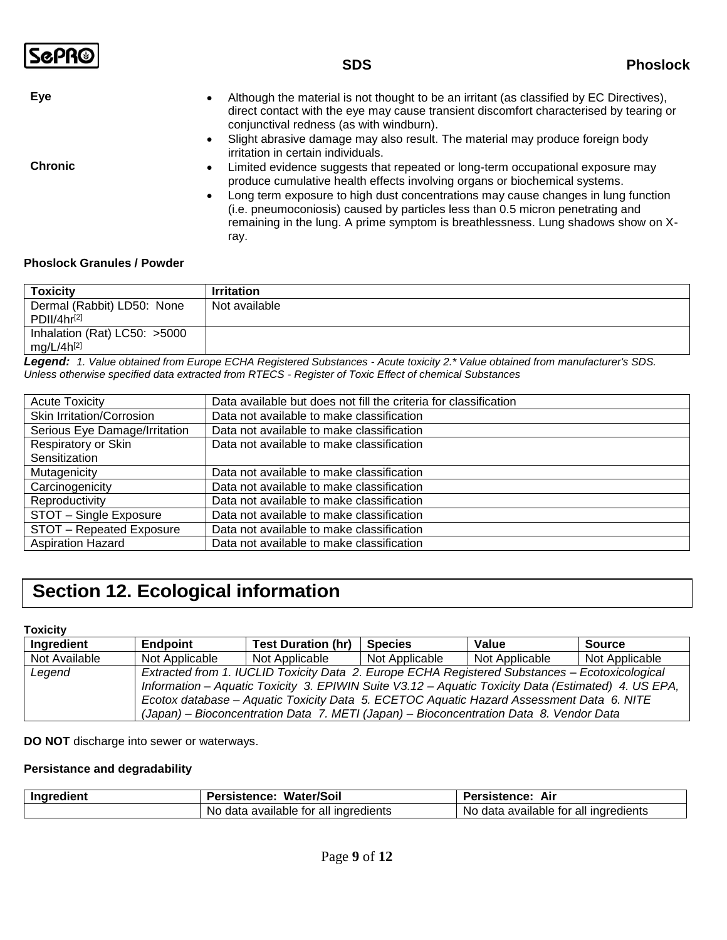- **Eye** Salthough the material is not thought to be an irritant (as classified by EC Directives), direct contact with the eye may cause transient discomfort characterised by tearing or conjunctival redness (as with windburn).
	- Slight abrasive damage may also result. The material may produce foreign body irritation in certain individuals.

- **Chronic Chronic Exercise 2015 Limited evidence suggests that repeated or long-term occupational exposure may** produce cumulative health effects involving organs or biochemical systems.
	- Long term exposure to high dust concentrations may cause changes in lung function (i.e. pneumoconiosis) caused by particles less than 0.5 micron penetrating and remaining in the lung. A prime symptom is breathlessness. Lung shadows show on Xray.

### **Phoslock Granules / Powder**

| Toxicitv                     | <b>Irritation</b>                                                                                                             |
|------------------------------|-------------------------------------------------------------------------------------------------------------------------------|
| Dermal (Rabbit) LD50: None   | Not available                                                                                                                 |
| PDII/4hr <sup>[2]</sup>      |                                                                                                                               |
| Inhalation (Rat) LC50: >5000 |                                                                                                                               |
| $mg/L/4h^{[2]}$              |                                                                                                                               |
|                              | Logarde de Value aktivis d'Iran Europe FOUA Desistered Cubatanasa - Aquita tavisitze XValue aktivis d'Iran manufacturaria CDC |

*Legend:**1. Value obtained from Europe ECHA Registered Substances - Acute toxicity 2.\* Value obtained from manufacturer's SDS. Unless otherwise specified data extracted from RTECS - Register of Toxic Effect of chemical Substances*

| <b>Acute Toxicity</b>         | Data available but does not fill the criteria for classification |
|-------------------------------|------------------------------------------------------------------|
| Skin Irritation/Corrosion     | Data not available to make classification                        |
| Serious Eye Damage/Irritation | Data not available to make classification                        |
| Respiratory or Skin           | Data not available to make classification                        |
| Sensitization                 |                                                                  |
| Mutagenicity                  | Data not available to make classification                        |
| Carcinogenicity               | Data not available to make classification                        |
| Reproductivity                | Data not available to make classification                        |
| STOT - Single Exposure        | Data not available to make classification                        |
| STOT - Repeated Exposure      | Data not available to make classification                        |
| <b>Aspiration Hazard</b>      | Data not available to make classification                        |

## **Section 12. Ecological information**

#### **Toxicity**

| Ingredient    | <b>Endpoint</b>                                                                                     | <b>Test Duration (hr)</b> | <b>Species</b> | Value          | Source         |
|---------------|-----------------------------------------------------------------------------------------------------|---------------------------|----------------|----------------|----------------|
| Not Available | Not Applicable                                                                                      | Not Applicable            | Not Applicable | Not Applicable | Not Applicable |
| Legend        | Extracted from 1. IUCLID Toxicity Data 2. Europe ECHA Registered Substances - Ecotoxicological      |                           |                |                |                |
|               | Information – Aquatic Toxicity 3. EPIWIN Suite V3.12 – Aquatic Toxicity Data (Estimated) 4. US EPA, |                           |                |                |                |
|               | Ecotox database - Aquatic Toxicity Data 5. ECETOC Aquatic Hazard Assessment Data 6. NITE            |                           |                |                |                |
|               | (Japan) – Bioconcentration Data 7. METI (Japan) – Bioconcentration Data 8. Vendor Data              |                           |                |                |                |

**DO NOT** discharge into sewer or waterways.

### **Persistance and degradability**

| Ingredient | <b>Water/Soil</b><br>Persistence:            | Persistence:<br>Air                            |  |
|------------|----------------------------------------------|------------------------------------------------|--|
|            | available for all ingredients<br>No.<br>data | a available for all ingredients<br>No.<br>data |  |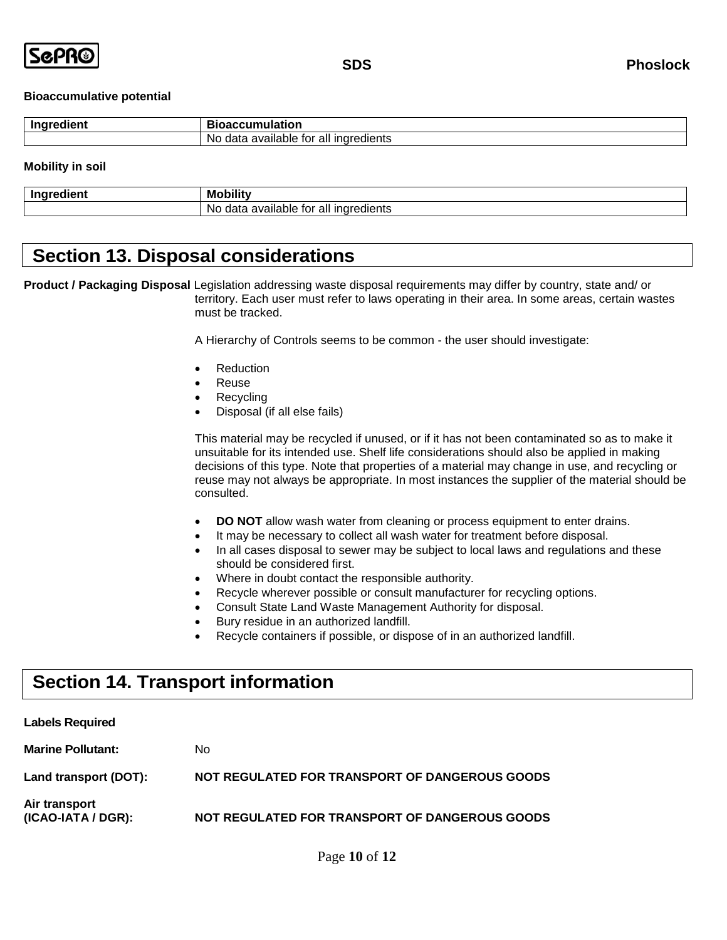

### **Bioaccumulative potential**

| . . | : 1 1 1 1                                                                         |
|-----|-----------------------------------------------------------------------------------|
|     | <br>.<br>$\sim$<br>ΝO<br>avallar<br>ına<br>edients<br>יי<br>ातात<br>ж<br>all<br>ີ |

### **Mobility in soil**

| <b>Ingredien</b> |                                                                  |
|------------------|------------------------------------------------------------------|
| оне              | Mc                                                               |
| .                | .                                                                |
|                  | gredients<br>available:<br>inare<br>N.<br><br>data<br>all<br>IUI |

### **Section 13. Disposal considerations**

**Product / Packaging Disposal** Legislation addressing waste disposal requirements may differ by country, state and/ or territory. Each user must refer to laws operating in their area. In some areas, certain wastes must be tracked.

A Hierarchy of Controls seems to be common - the user should investigate:

- Reduction
- Reuse
- Recycling
- Disposal (if all else fails)

This material may be recycled if unused, or if it has not been contaminated so as to make it unsuitable for its intended use. Shelf life considerations should also be applied in making decisions of this type. Note that properties of a material may change in use, and recycling or reuse may not always be appropriate. In most instances the supplier of the material should be consulted.

- **DO NOT** allow wash water from cleaning or process equipment to enter drains.
- It may be necessary to collect all wash water for treatment before disposal.
- In all cases disposal to sewer may be subject to local laws and regulations and these should be considered first.
- Where in doubt contact the responsible authority.
- Recycle wherever possible or consult manufacturer for recycling options.
- Consult State Land Waste Management Authority for disposal.
- Bury residue in an authorized landfill.
- Recycle containers if possible, or dispose of in an authorized landfill.

## **Section 14. Transport information**

| <b>Labels Required</b>              |                                                |
|-------------------------------------|------------------------------------------------|
| <b>Marine Pollutant:</b>            | No.                                            |
| Land transport (DOT):               | NOT REGULATED FOR TRANSPORT OF DANGEROUS GOODS |
| Air transport<br>(ICAO-IATA / DGR): | NOT REGULATED FOR TRANSPORT OF DANGEROUS GOODS |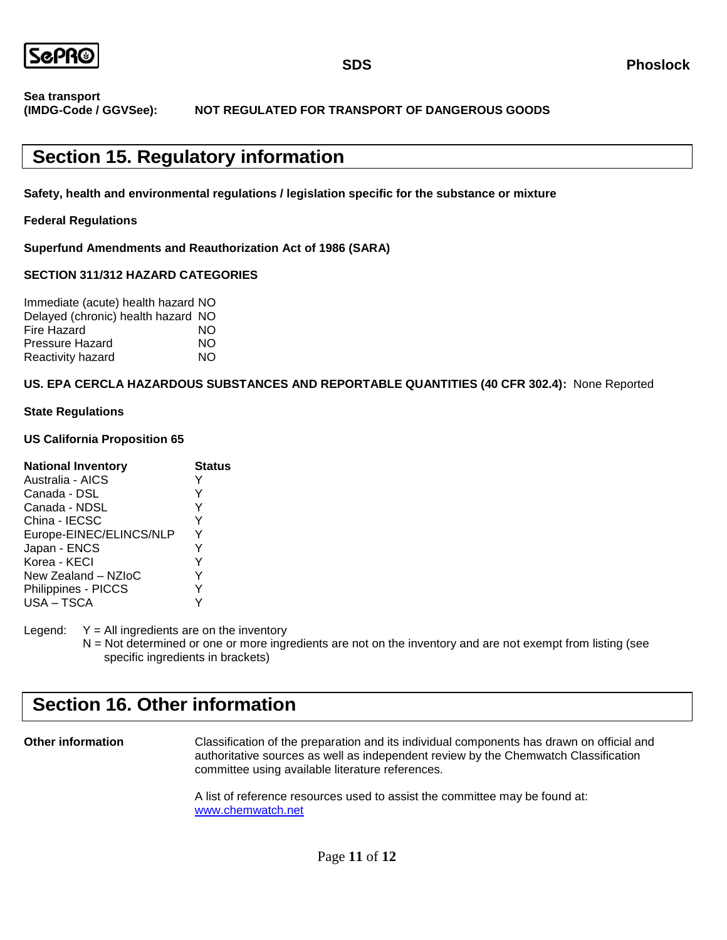

**Sea transport (IMDG-Code / GGVSee): NOT REGULATED FOR TRANSPORT OF DANGEROUS GOODS**

## **Section 15. Regulatory information**

**Safety, health and environmental regulations / legislation specific for the substance or mixture**

### **Federal Regulations**

**Superfund Amendments and Reauthorization Act of 1986 (SARA)**

### **SECTION 311/312 HAZARD CATEGORIES**

| Immediate (acute) health hazard NO |    |
|------------------------------------|----|
| Delayed (chronic) health hazard NO |    |
| Fire Hazard                        | NΟ |
| <b>Pressure Hazard</b>             | NΟ |
| Reactivity hazard                  | NΟ |

### **US. EPA CERCLA HAZARDOUS SUBSTANCES AND REPORTABLE QUANTITIES (40 CFR 302.4):** None Reported

### **State Regulations**

### **US California Proposition 65**

| <b>National Inventory</b> | <b>Status</b> |
|---------------------------|---------------|
| Australia - AICS          | Y             |
| Canada - DSL              | Y             |
| Canada - NDSL             | Y             |
| China - IECSC             | Y             |
| Europe-EINEC/ELINCS/NLP   | Y             |
| Japan - ENCS              | Y             |
| Korea - KECI              | Y             |
| New Zealand - NZIoC       | Y             |
| Philippines - PICCS       | Y             |
| USA-TSCA                  | ٧             |

Legend:  $Y = All$  ingredients are on the inventory

N = Not determined or one or more ingredients are not on the inventory and are not exempt from listing (see specific ingredients in brackets)

## **Section 16. Other information**

**Other information** Classification of the preparation and its individual components has drawn on official and authoritative sources as well as independent review by the Chemwatch Classification committee using available literature references.

> A list of reference resources used to assist the committee may be found at: [www.chemwatch.net](http://www.chemwatch.net/)